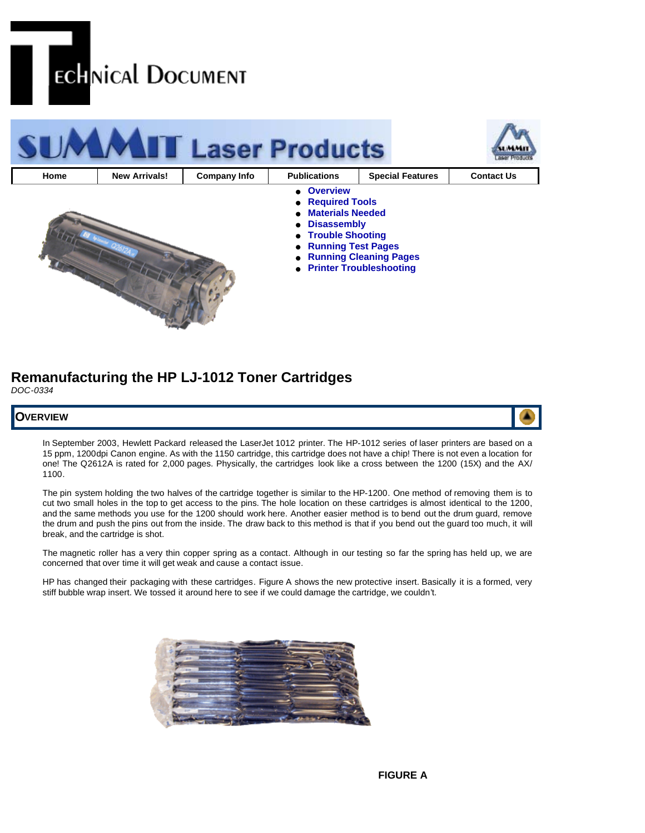



# **Remanufacturing the HP LJ-1012 Toner Cartridges** *DOC-0334*



In September 2003, Hewlett Packard released the LaserJet 1012 printer. The HP-1012 series of laser printers are based on a 15 ppm, 1200dpi Canon engine. As with the 1150 cartridge, this cartridge does not have a chip! There is not even a location for one! The Q2612A is rated for 2,000 pages. Physically, the cartridges look like a cross between the 1200 (15X) and the AX/ 1100.

The pin system holding the two halves of the cartridge together is similar to the HP-1200. One method of removing them is to cut two small holes in the top to get access to the pins. The hole location on these cartridges is almost identical to the 1200, and the same methods you use for the 1200 should work here. Another easier method is to bend out the drum guard, remove the drum and push the pins out from the inside. The draw back to this method is that if you bend out the guard too much, it will break, and the cartridge is shot.

The magnetic roller has a very thin copper spring as a contact. Although in our testing so far the spring has held up, we are concerned that over time it will get weak and cause a contact issue.

HP has changed their packaging with these cartridges. Figure A shows the new protective insert. Basically it is a formed, very stiff bubble wrap insert. We tossed it around here to see if we could damage the cartridge, we couldn't.

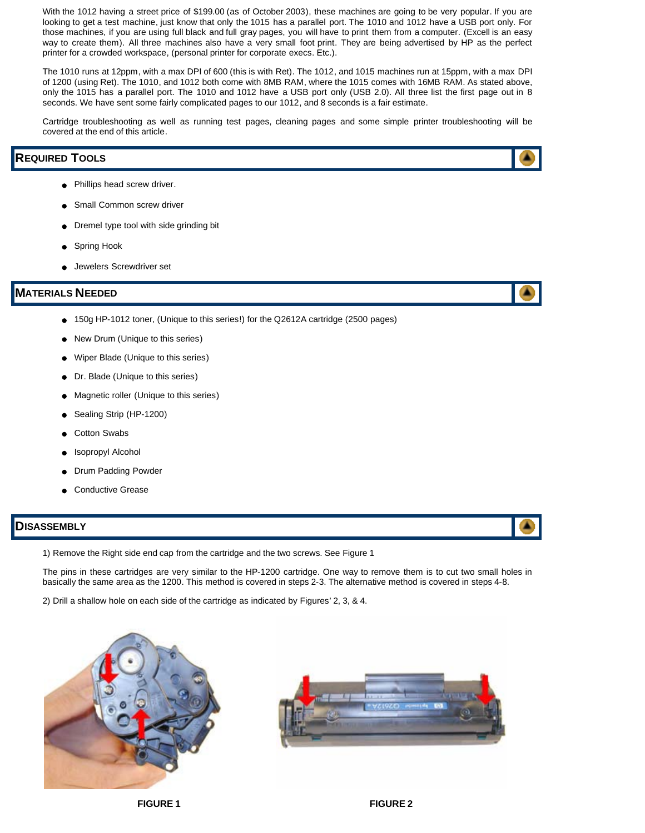With the 1012 having a street price of \$199.00 (as of October 2003), these machines are going to be very popular. If you are looking to get a test machine, just know that only the 1015 has a parallel port. The 1010 and 1012 have a USB port only. For those machines, if you are using full black and full gray pages, you will have to print them from a computer. (Excell is an easy way to create them). All three machines also have a very small foot print. They are being advertised by HP as the perfect printer for a crowded workspace, (personal printer for corporate execs. Etc.).

The 1010 runs at 12ppm, with a max DPI of 600 (this is with Ret). The 1012, and 1015 machines run at 15ppm, with a max DPI of 1200 (using Ret). The 1010, and 1012 both come with 8MB RAM, where the 1015 comes with 16MB RAM. As stated above, only the 1015 has a parallel port. The 1010 and 1012 have a USB port only (USB 2.0). All three list the first page out in 8 seconds. We have sent some fairly complicated pages to our 1012, and 8 seconds is a fair estimate.

Cartridge troubleshooting as well as running test pages, cleaning pages and some simple printer troubleshooting will be covered at the end of this article.

# **REQUIRED TOOLS**

- Phillips head screw driver.
- Small Common screw driver
- Dremel type tool with side grinding bit
- Spring Hook
- Jewelers Screwdriver set

# **MATERIALS NEEDED**

- 150g HP-1012 toner, (Unique to this series!) for the Q2612A cartridge (2500 pages)
- New Drum (Unique to this series)
- Wiper Blade (Unique to this series)
- Dr. Blade (Unique to this series)
- Magnetic roller (Unique to this series)
- Sealing Strip (HP-1200)
- Cotton Swabs
- Isopropyl Alcohol
- Drum Padding Powder
- Conductive Grease

# **DISASSEMBLY**

1) Remove the Right side end cap from the cartridge and the two screws. See Figure 1

The pins in these cartridges are very similar to the HP-1200 cartridge. One way to remove them is to cut two small holes in basically the same area as the 1200. This method is covered in steps 2-3. The alternative method is covered in steps 4-8.

2) Drill a shallow hole on each side of the cartridge as indicated by Figures' 2, 3, & 4.









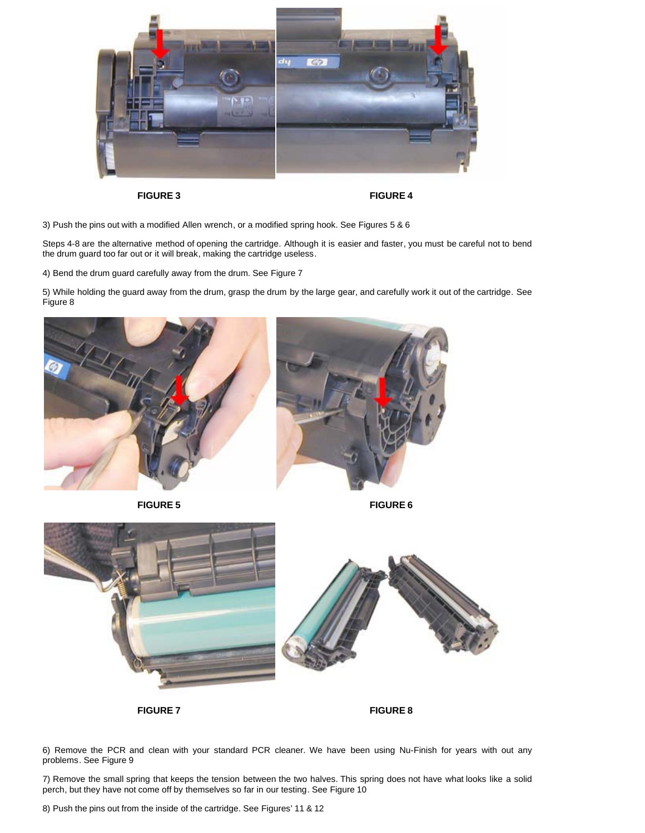

**FIGURE 3 FIGURE 4**

3) Push the pins out with a modified Allen wrench, or a modified spring hook. See Figures 5 & 6

Steps 4-8 are the alternative method of opening the cartridge. Although it is easier and faster, you must be careful not to bend the drum guard too far out or it will break, making the cartridge useless.

4) Bend the drum guard carefully away from the drum. See Figure 7

5) While holding the guard away from the drum, grasp the drum by the large gear, and carefully work it out of the cartridge. See Figure 8







**FIGURE 7 FIGURE 8**

6) Remove the PCR and clean with your standard PCR cleaner. We have been using Nu-Finish for years with out any problems. See Figure 9

7) Remove the small spring that keeps the tension between the two halves. This spring does not have what looks like a solid perch, but they have not come off by themselves so far in our testing. See Figure 10

8) Push the pins out from the inside of the cartridge. See Figures' 11 & 12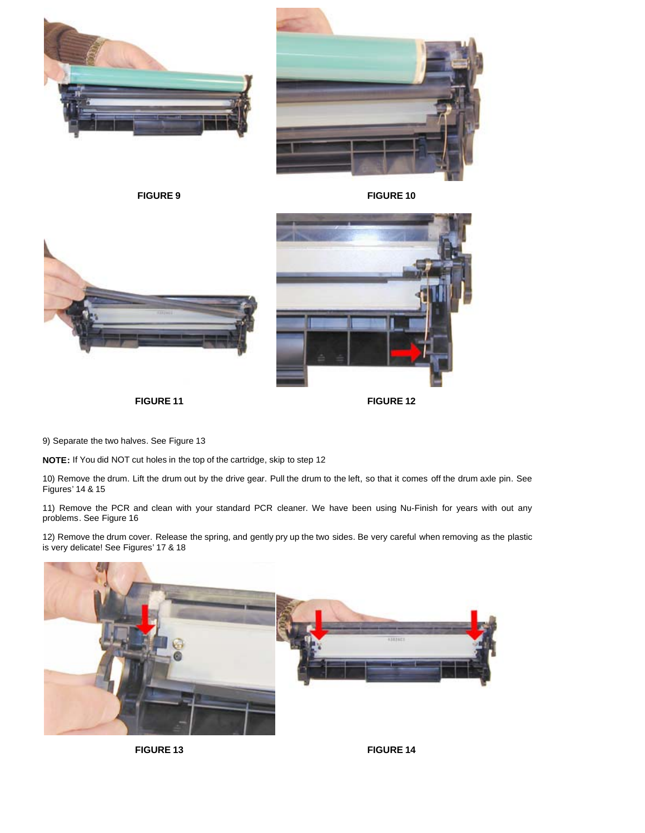



**FIGURE 9 FIGURE 10**





**FIGURE 11 FIGURE 12**

9) Separate the two halves. See Figure 13

**NOTE:** If You did NOT cut holes in the top of the cartridge, skip to step 12

10) Remove the drum. Lift the drum out by the drive gear. Pull the drum to the left, so that it comes off the drum axle pin. See Figures' 14 & 15

11) Remove the PCR and clean with your standard PCR cleaner. We have been using Nu-Finish for years with out any problems. See Figure 16

12) Remove the drum cover. Release the spring, and gently pry up the two sides. Be very careful when removing as the plastic is very delicate! See Figures' 17 & 18



**FIGURE 13 FIGURE 14**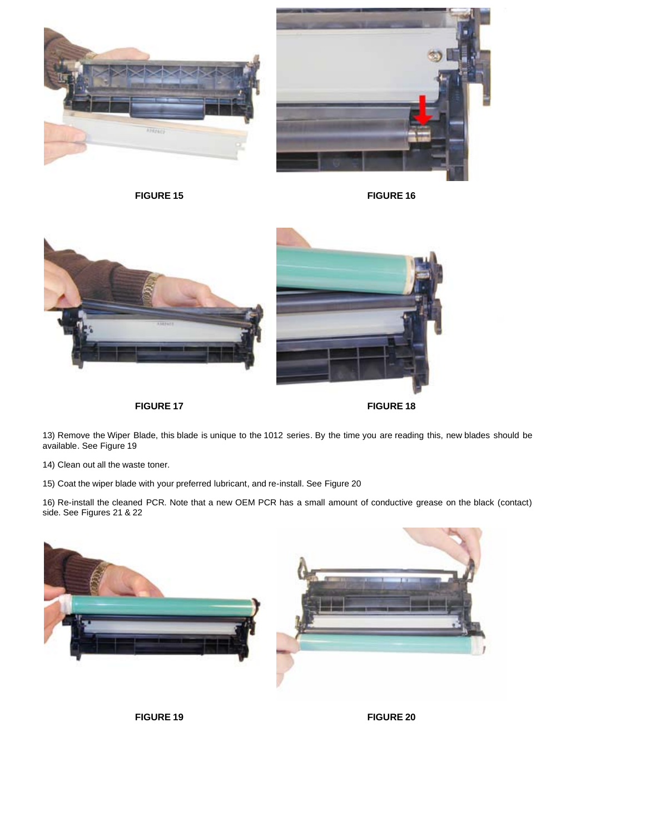



**FIGURE 15 FIGURE 16**



**FIGURE 17 FIGURE 18**

13) Remove the Wiper Blade, this blade is unique to the 1012 series. By the time you are reading this, new blades should be available. See Figure 19

14) Clean out all the waste toner.

15) Coat the wiper blade with your preferred lubricant, and re-install. See Figure 20

16) Re-install the cleaned PCR. Note that a new OEM PCR has a small amount of conductive grease on the black (contact) side. See Figures 21 & 22



**FIGURE 19 FIGURE 20**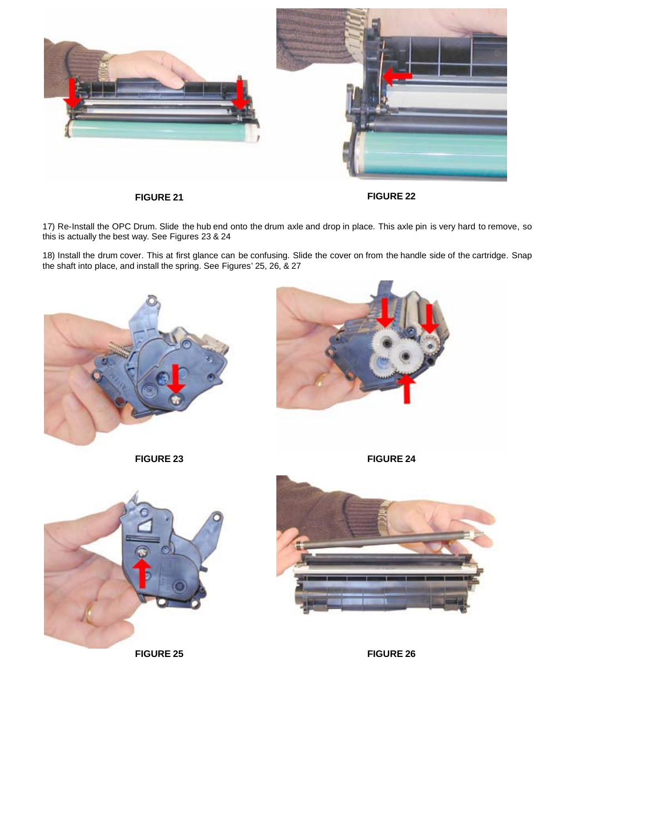

**FIGURE 21 FIGURE 22**

17) Re-Install the OPC Drum. Slide the hub end onto the drum axle and drop in place. This axle pin is very hard to remove, so this is actually the best way. See Figures 23 & 24

18) Install the drum cover. This at first glance can be confusing. Slide the cover on from the handle side of the cartridge. Snap the shaft into place, and install the spring. See Figures' 25, 26, & 27









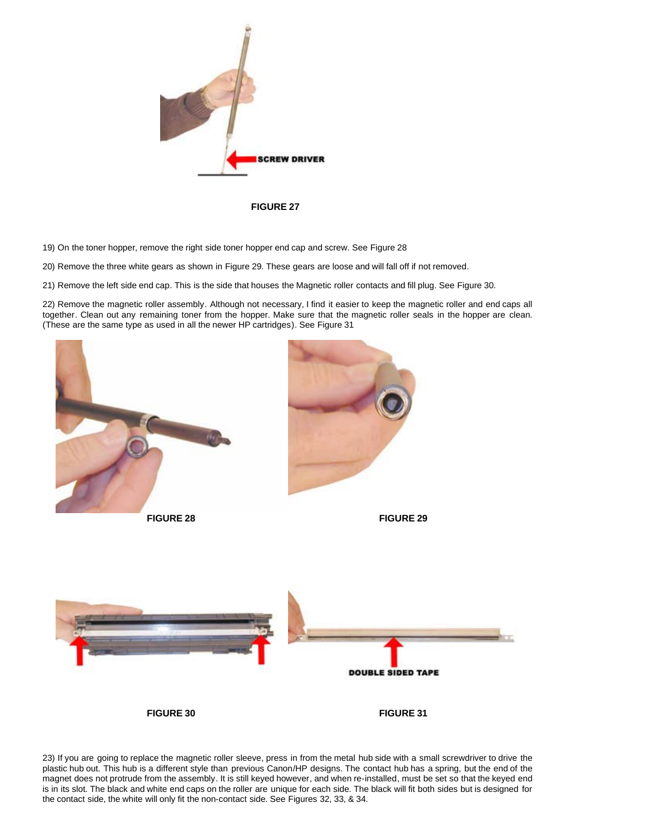

**FIGURE 27**

19) On the toner hopper, remove the right side toner hopper end cap and screw. See Figure 28

20) Remove the three white gears as shown in Figure 29. These gears are loose and will fall off if not removed.

21) Remove the left side end cap. This is the side that houses the Magnetic roller contacts and fill plug. See Figure 30.

22) Remove the magnetic roller assembly. Although not necessary, I find it easier to keep the magnetic roller and end caps all together. Clean out any remaining toner from the hopper. Make sure that the magnetic roller seals in the hopper are clean. (These are the same type as used in all the newer HP cartridges). See Figure 31



23) If you are going to replace the magnetic roller sleeve, press in from the metal hub side with a small screwdriver to drive the plastic hub out. This hub is a different style than previous Canon/HP designs. The contact hub has a spring, but the end of the magnet does not protrude from the assembly. It is still keyed however, and when re-installed, must be set so that the keyed end is in its slot. The black and white end caps on the roller are unique for each side. The black will fit both sides but is designed for the contact side, the white will only fit the non-contact side. See Figures 32, 33, & 34.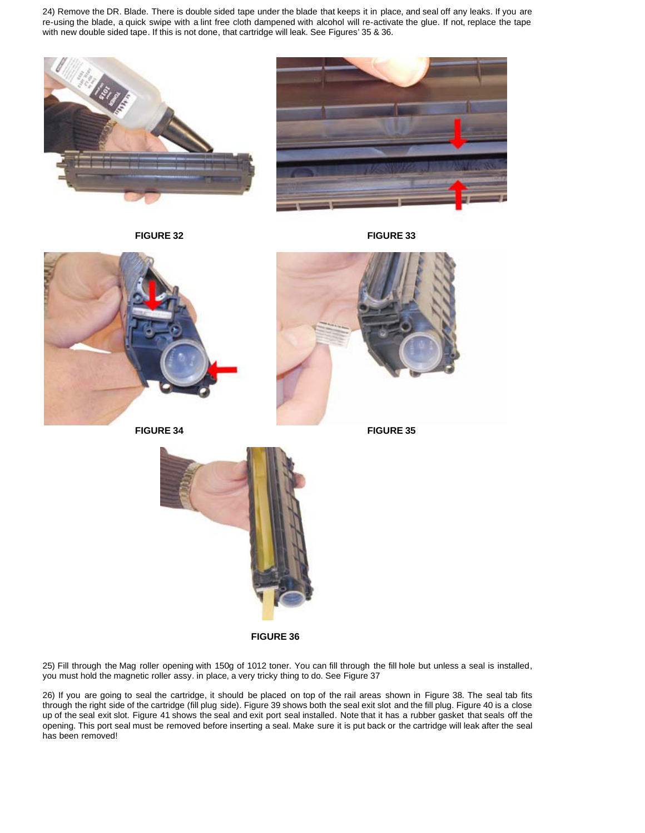24) Remove the DR. Blade. There is double sided tape under the blade that keeps it in place, and seal off any leaks. If you are re-using the blade, a quick swipe with a lint free cloth dampened with alcohol will re-activate the glue. If not, replace the tape with new double sided tape. If this is not done, that cartridge will leak. See Figures' 35 & 36.



**FIGURE 32 FIGURE 33**





**FIGURE 36**

25) Fill through the Mag roller opening with 150g of 1012 toner. You can fill through the fill hole but unless a seal is installed, you must hold the magnetic roller assy. in place, a very tricky thing to do. See Figure 37

26) If you are going to seal the cartridge, it should be placed on top of the rail areas shown in Figure 38. The seal tab fits through the right side of the cartridge (fill plug side). Figure 39 shows both the seal exit slot and the fill plug. Figure 40 is a close up of the seal exit slot. Figure 41 shows the seal and exit port seal installed. Note that it has a rubber gasket that seals off the opening. This port seal must be removed before inserting a seal. Make sure it is put back or the cartridge will leak after the seal has been removed!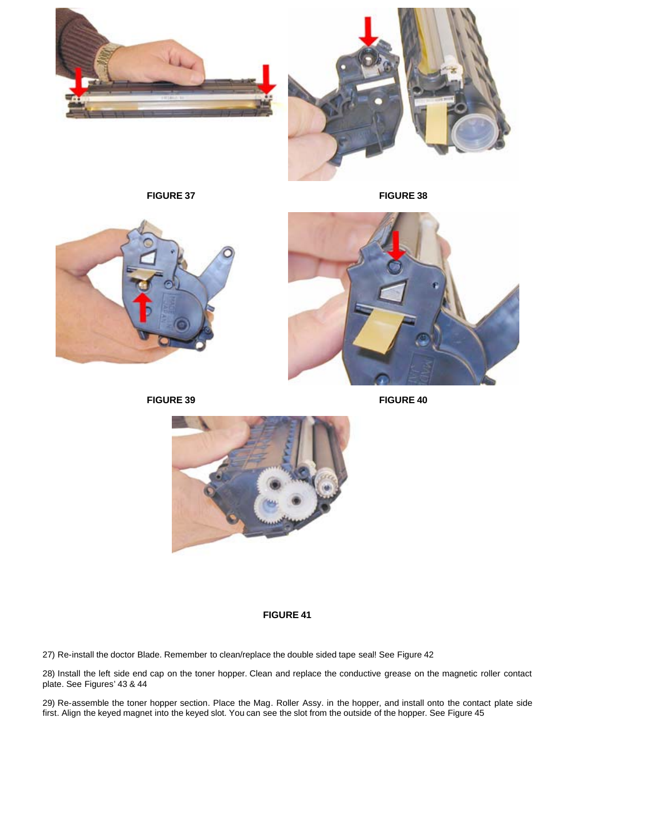



**FIGURE 37 FIGURE 38**



**FIGURE 39 FIGURE 40**





**FIGURE 41**

27) Re-install the doctor Blade. Remember to clean/replace the double sided tape seal! See Figure 42

28) Install the left side end cap on the toner hopper. Clean and replace the conductive grease on the magnetic roller contact plate. See Figures' 43 & 44

29) Re-assemble the toner hopper section. Place the Mag. Roller Assy. in the hopper, and install onto the contact plate side first. Align the keyed magnet into the keyed slot. You can see the slot from the outside of the hopper. See Figure 45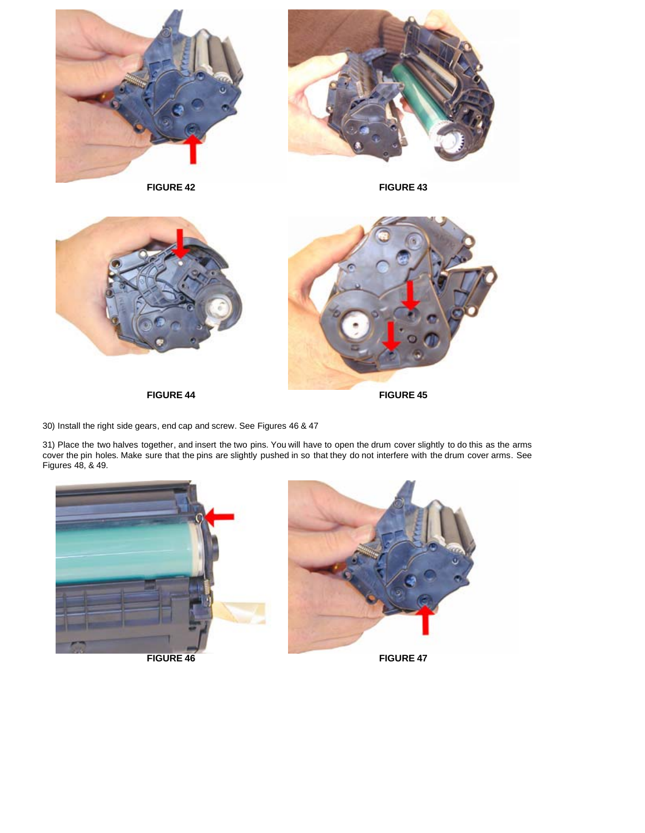









**FIGURE 44 FIGURE 45** 

30) Install the right side gears, end cap and screw. See Figures 46 & 47

31) Place the two halves together, and insert the two pins. You will have to open the drum cover slightly to do this as the arms cover the pin holes. Make sure that the pins are slightly pushed in so that they do not interfere with the drum cover arms. See Figures 48, & 49.



**FIGURE 46 FIGURE 47** 

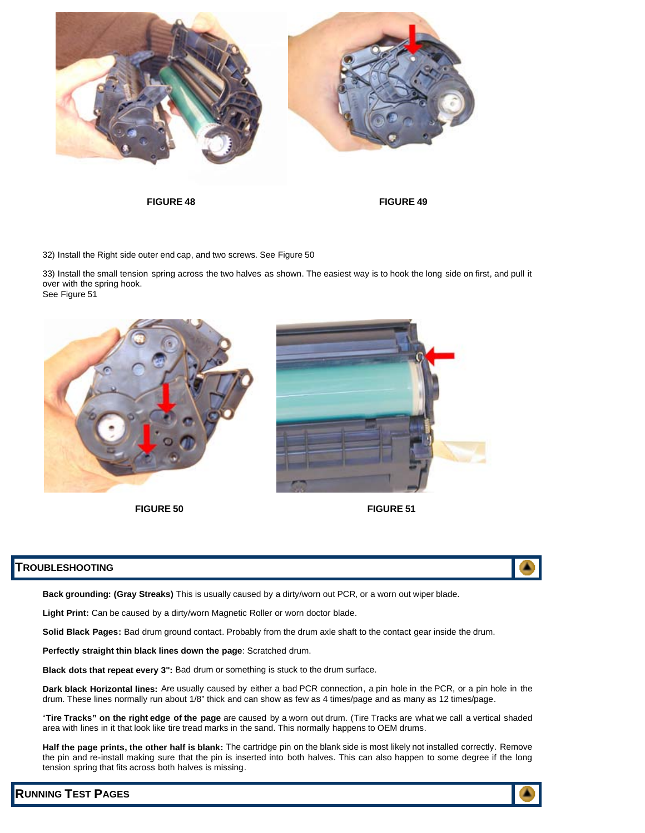

**FIGURE 48 FIGURE 49**

32) Install the Right side outer end cap, and two screws. See Figure 50

33) Install the small tension spring across the two halves as shown. The easiest way is to hook the long side on first, and pull it over with the spring hook. See Figure 51





### **TROUBLESHOOTING**

**Back grounding: (Gray Streaks)** This is usually caused by a dirty/worn out PCR, or a worn out wiper blade.

**Light Print:** Can be caused by a dirty/worn Magnetic Roller or worn doctor blade.

**Solid Black Pages:** Bad drum ground contact. Probably from the drum axle shaft to the contact gear inside the drum.

**Perfectly straight thin black lines down the page**: Scratched drum.

**Black dots that repeat every 3":** Bad drum or something is stuck to the drum surface.

**Dark black Horizontal lines:** Are usually caused by either a bad PCR connection, a pin hole in the PCR, or a pin hole in the drum. These lines normally run about 1/8" thick and can show as few as 4 times/page and as many as 12 times/page.

"**Tire Tracks" on the right edge of the page** are caused by a worn out drum. (Tire Tracks are what we call a vertical shaded area with lines in it that look like tire tread marks in the sand. This normally happens to OEM drums.

**Half the page prints, the other half is blank:** The cartridge pin on the blank side is most likely not installed correctly. Remove the pin and re-install making sure that the pin is inserted into both halves. This can also happen to some degree if the long tension spring that fits across both halves is missing.

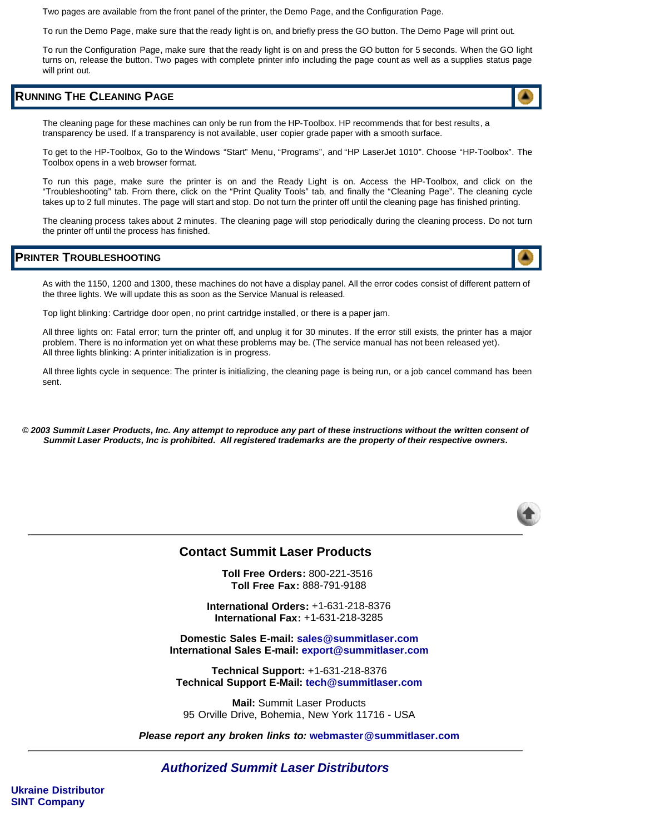Two pages are available from the front panel of the printer, the Demo Page, and the Configuration Page.

To run the Demo Page, make sure that the ready light is on, and briefly press the GO button. The Demo Page will print out.

To run the Configuration Page, make sure that the ready light is on and press the GO button for 5 seconds. When the GO light turns on, release the button. Two pages with complete printer info including the page count as well as a supplies status page will print out.

## **RUNNING THE CLEANING PAGE**

The cleaning page for these machines can only be run from the HP-Toolbox. HP recommends that for best results, a transparency be used. If a transparency is not available, user copier grade paper with a smooth surface.

To get to the HP-Toolbox, Go to the Windows "Start" Menu, "Programs", and "HP LaserJet 1010". Choose "HP-Toolbox". The Toolbox opens in a web browser format.

To run this page, make sure the printer is on and the Ready Light is on. Access the HP-Toolbox, and click on the "Troubleshooting" tab. From there, click on the "Print Quality Tools" tab, and finally the "Cleaning Page". The cleaning cycle takes up to 2 full minutes. The page will start and stop. Do not turn the printer off until the cleaning page has finished printing.

The cleaning process takes about 2 minutes. The cleaning page will stop periodically during the cleaning process. Do not turn the printer off until the process has finished.

#### **PRINTER TROUBLESHOOTING**

As with the 1150, 1200 and 1300, these machines do not have a display panel. All the error codes consist of different pattern of the three lights. We will update this as soon as the Service Manual is released.

Top light blinking: Cartridge door open, no print cartridge installed, or there is a paper jam.

All three lights on: Fatal error; turn the printer off, and unplug it for 30 minutes. If the error still exists, the printer has a major problem. There is no information yet on what these problems may be. (The service manual has not been released yet). All three lights blinking: A printer initialization is in progress.

All three lights cycle in sequence: The printer is initializing, the cleaning page is being run, or a job cancel command has been sent.

*© 2003 Summit Laser Products, Inc. Any attempt to reproduce any part of these instructions without the written consent of Summit Laser Products, Inc is prohibited. All registered trademarks are the property of their respective owners.*



### **Contact Summit Laser Products**

**Toll Free Orders:** 800-221-3516 **Toll Free Fax:** 888-791-9188

**International Orders:** +1-631-218-8376 **International Fax:** +1-631-218-3285

**Domestic Sales E-mail: sales@summitlaser.com International Sales E-mail: export@summitlaser.com**

**Technical Support:** +1-631-218-8376 **Technical Support E-Mail: tech@summitlaser.com**

**Mail:** Summit Laser Products 95 Orville Drive, Bohemia, New York 11716 - USA

*Please report any broken links to:* **webmaster@summitlaser.com**

*Authorized Summit Laser Distributors*